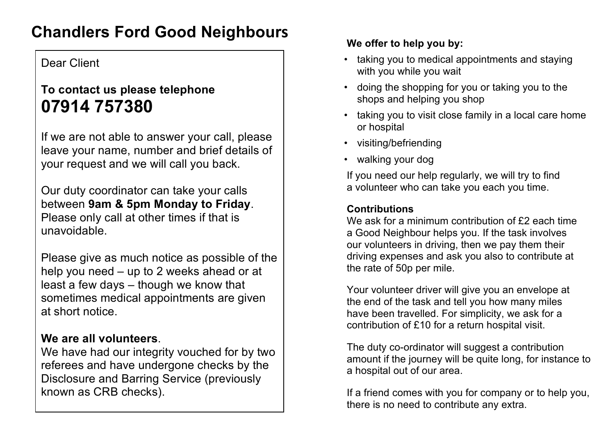# **Chandlers Ford Good Neighbours**

## Dear Client

## **To contact us please telephone 07914 757380**

If we are not able to answer your call, please leave your name, number and brief details of your request and we will call you back.

Our duty coordinator can take your calls between **9am & 5pm Monday to Friday**. Please only call at other times if that is unavoidable.

Please give as much notice as possible of the help you need – up to 2 weeks ahead or at least a few days – though we know that sometimes medical appointments are given at short notice.

## **We are all volunteers**.

We have had our integrity vouched for by two referees and have undergone checks by the Disclosure and Barring Service (previously known as CRB checks).

### **We offer to help you by:**

- taking you to medical appointments and staying with you while you wait
- doing the shopping for you or taking you to the shops and helping you shop
- taking you to visit close family in a local care home or hospital
- visiting/befriending
- walking your dog

If you need our help regularly, we will try to find a volunteer who can take you each you time.

#### **Contributions**

We ask for a minimum contribution of £2 each time a Good Neighbour helps you. If the task involves our volunteers in driving, then we pay them their driving expenses and ask you also to contribute at the rate of 50p per mile.

Your volunteer driver will give you an envelope at the end of the task and tell you how many miles have been travelled. For simplicity, we ask for a contribution of £10 for a return hospital visit.

The duty co-ordinator will suggest a contribution amount if the journey will be quite long, for instance to a hospital out of our area.

If a friend comes with you for company or to help you, there is no need to contribute any extra.